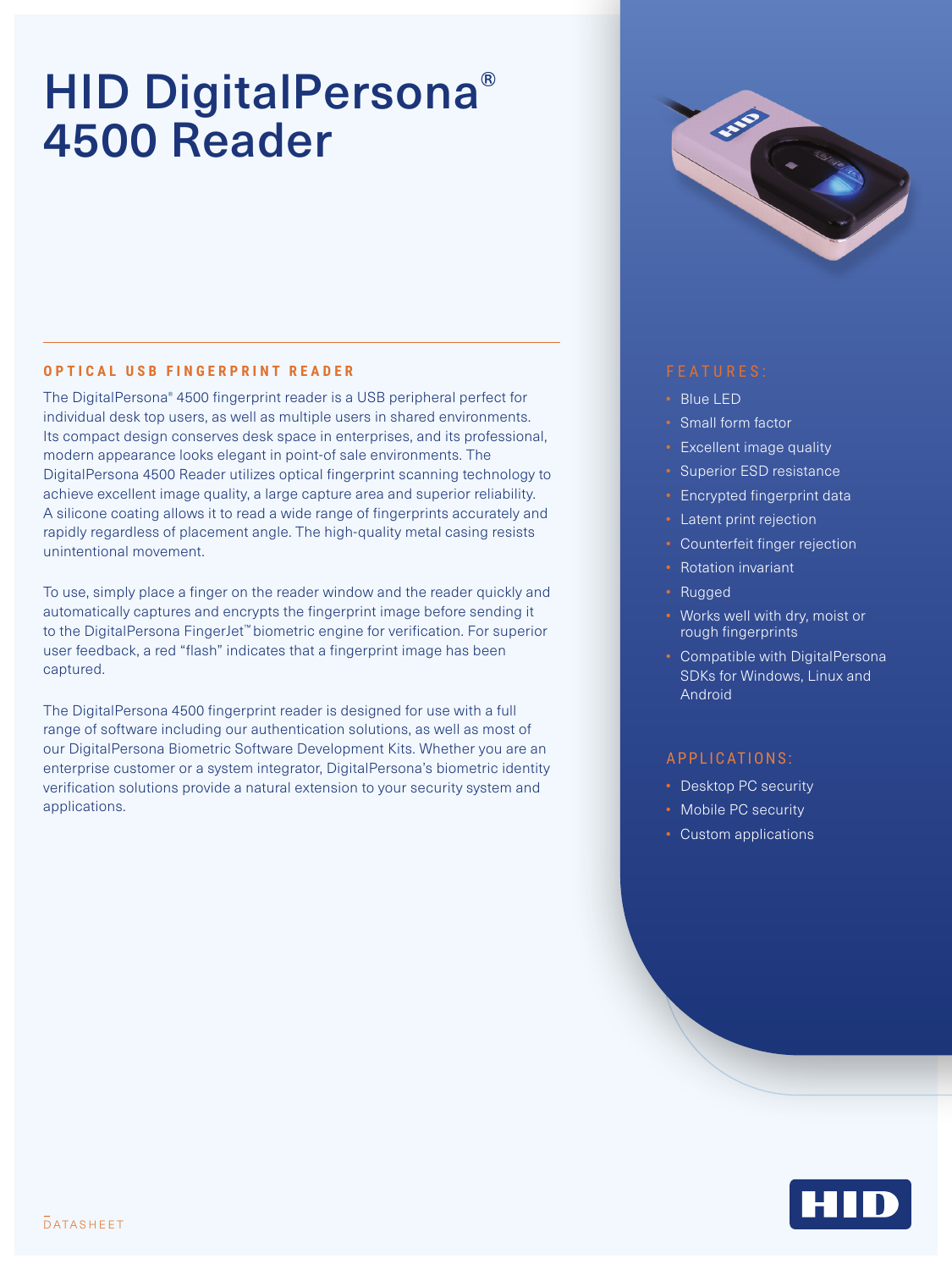# HID DigitalPersona® 4500 Reader



## **OPTICAL USB FINGERPRINT READER**

The DigitalPersona® 4500 fingerprint reader is a USB peripheral perfect for individual desk top users, as well as multiple users in shared environments. Its compact design conserves desk space in enterprises, and its professional, modern appearance looks elegant in point-of sale environments. The DigitalPersona 4500 Reader utilizes optical fingerprint scanning technology to achieve excellent image quality, a large capture area and superior reliability. A silicone coating allows it to read a wide range of fingerprints accurately and rapidly regardless of placement angle. The high-quality metal casing resists unintentional movement.

To use, simply place a finger on the reader window and the reader quickly and automatically captures and encrypts the fingerprint image before sending it to the DigitalPersona FingerJet™ biometric engine for verification. For superior user feedback, a red "flash" indicates that a fingerprint image has been captured.

The DigitalPersona 4500 fingerprint reader is designed for use with a full range of software including our authentication solutions, as well as most of our DigitalPersona Biometric Software Development Kits. Whether you are an enterprise customer or a system integrator, DigitalPersona's biometric identity verification solutions provide a natural extension to your security system and applications.

- Blue LED
- Small form factor
- Excellent image quality
- Superior ESD resistance
- Encrypted fingerprint data
- Latent print rejection
- Counterfeit finger rejection
- Rotation invariant
- Rugged
- Works well with dry, moist or rough fingerprints
- Compatible with DigitalPersona SDKs for Windows, Linux and Android

### APPLICATIONS:

- Desktop PC security
- Mobile PC security
- Custom applications